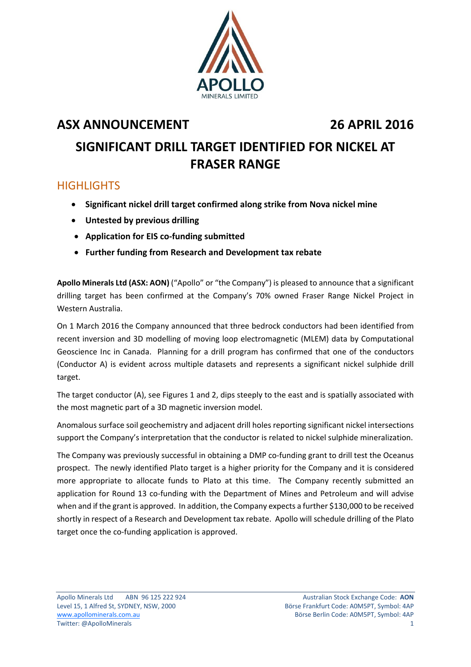

## **ASX ANNOUNCEMENT 26 APRIL 2016**

# **SIGNIFICANT DRILL TARGET IDENTIFIED FOR NICKEL AT FRASER RANGE**

### **HIGHLIGHTS**

- **Significant nickel drill target confirmed along strike from Nova nickel mine**
- **Untested by previous drilling**
- **Application for EIS co‐funding submitted**
- **Further funding from Research and Development tax rebate**

**Apollo Minerals Ltd (ASX: AON)** ("Apollo" or "the Company") is pleased to announce that a significant drilling target has been confirmed at the Company's 70% owned Fraser Range Nickel Project in Western Australia.

On 1 March 2016 the Company announced that three bedrock conductors had been identified from recent inversion and 3D modelling of moving loop electromagnetic (MLEM) data by Computational Geoscience Inc in Canada. Planning for a drill program has confirmed that one of the conductors (Conductor A) is evident across multiple datasets and represents a significant nickel sulphide drill target.

The target conductor (A), see Figures 1 and 2, dips steeply to the east and is spatially associated with the most magnetic part of a 3D magnetic inversion model.

Anomalous surface soil geochemistry and adjacent drill holes reporting significant nickel intersections support the Company's interpretation that the conductor is related to nickel sulphide mineralization.

The Company was previously successful in obtaining a DMP co-funding grant to drill test the Oceanus prospect. The newly identified Plato target is a higher priority for the Company and it is considered more appropriate to allocate funds to Plato at this time. The Company recently submitted an application for Round 13 co-funding with the Department of Mines and Petroleum and will advise when and if the grant is approved. In addition, the Company expects a further \$130,000 to be received shortly in respect of a Research and Development tax rebate. Apollo will schedule drilling of the Plato target once the co-funding application is approved.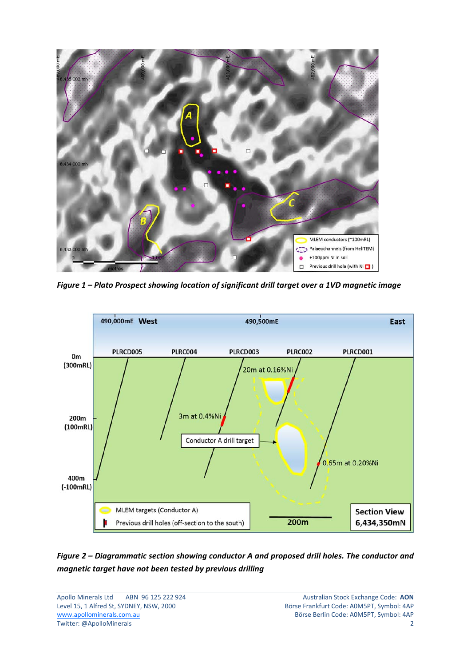

*Figure 1 – Plato Prospect showing location of significant drill target over a 1VD magnetic image*



### *Figure 2 – Diagrammatic section showing conductor A and proposed drill holes. The conductor and magnetic target have not been tested by previous drilling*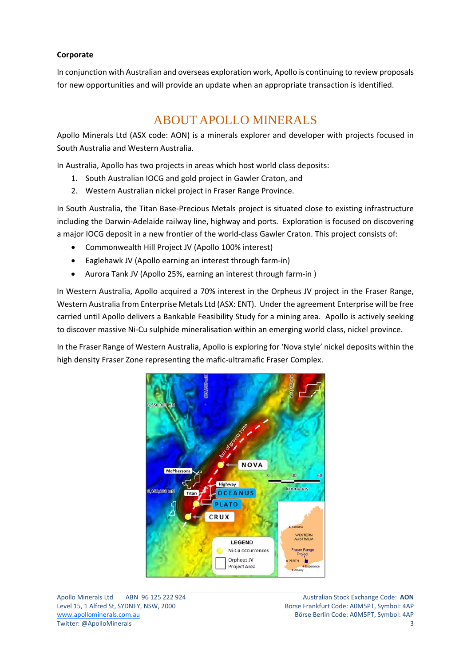### **Corporate**

In conjunction with Australian and overseas exploration work, Apollo is continuing to review proposals for new opportunities and will provide an update when an appropriate transaction is identified.

## ABOUT APOLLO MINERALS

Apollo Minerals Ltd (ASX code: AON) is a minerals explorer and developer with projects focused in South Australia and Western Australia.

In Australia, Apollo has two projects in areas which host world class deposits:

- 1. South Australian IOCG and gold project in Gawler Craton, and
- 2. Western Australian nickel project in Fraser Range Province.

In South Australia, the Titan Base‐Precious Metals project is situated close to existing infrastructure including the Darwin‐Adelaide railway line, highway and ports. Exploration is focused on discovering a major IOCG deposit in a new frontier of the world-class Gawler Craton. This project consists of:

- Commonwealth Hill Project JV (Apollo 100% interest)
- Eaglehawk JV (Apollo earning an interest through farm‐in)
- Aurora Tank JV (Apollo 25%, earning an interest through farm-in)

In Western Australia, Apollo acquired a 70% interest in the Orpheus JV project in the Fraser Range, Western Australia from Enterprise Metals Ltd (ASX: ENT). Under the agreement Enterprise will be free carried until Apollo delivers a Bankable Feasibility Study for a mining area. Apollo is actively seeking to discover massive Ni‐Cu sulphide mineralisation within an emerging world class, nickel province.

In the Fraser Range of Western Australia, Apollo is exploring for 'Nova style' nickel deposits within the high density Fraser Zone representing the mafic-ultramafic Fraser Complex.



Apollo Minerals Ltd ABN 96 125 222 924 Australian Stock Exchange Code: **AON** Level 15, 1 Alfred St, SYDNEY, NSW, 2000 Börse Frankfurt Code: A0M5PT, Symbol: 4AP www.apollominerals.com.au 
Börse Berlin Code: A0M5PT, Symbol: 4AP Twitter: @ApolloMinerals 3